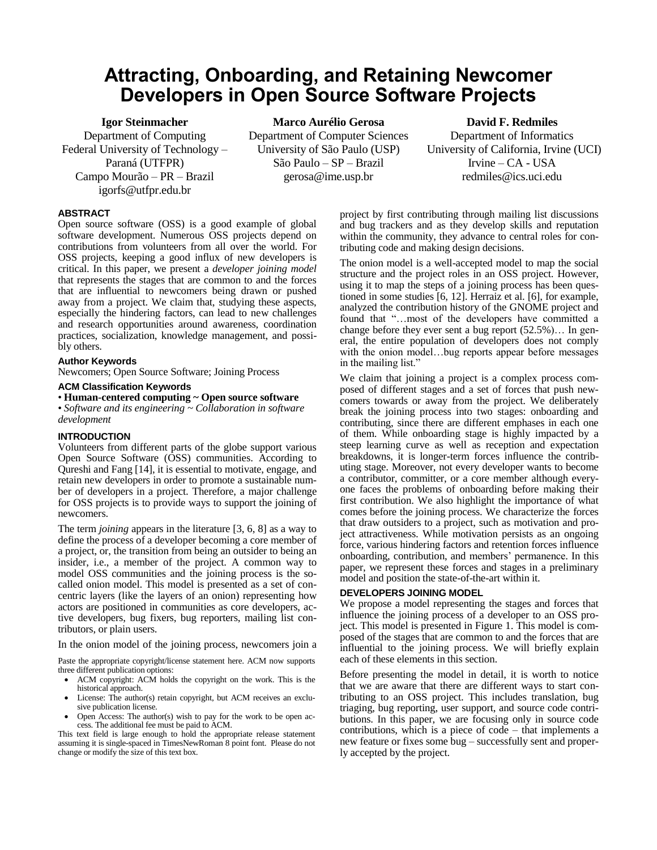# **Attracting, Onboarding, and Retaining Newcomer Developers in Open Source Software Projects**

**Igor Steinmacher** Department of Computing Federal University of Technology – Paraná (UTFPR) Campo Mourão – PR – Brazil igorfs@utfpr.edu.br

**Marco Aurélio Gerosa** Department of Computer Sciences University of São Paulo (USP) São Paulo – SP – Brazil gerosa@ime.usp.br

**David F. Redmiles** Department of Informatics University of California, Irvine (UCI) Irvine – CA - USA redmiles@ics.uci.edu

# **ABSTRACT**

Open source software (OSS) is a good example of global software development. Numerous OSS projects depend on contributions from volunteers from all over the world. For OSS projects, keeping a good influx of new developers is critical. In this paper, we present a *developer joining model* that represents the stages that are common to and the forces that are influential to newcomers being drawn or pushed away from a project. We claim that, studying these aspects, especially the hindering factors, can lead to new challenges and research opportunities around awareness, coordination practices, socialization, knowledge management, and possibly others.

## **Author Keywords**

Newcomers; Open Source Software; Joining Process

#### **ACM Classification Keywords**

• **Human-centered computing ~ Open source software**

• *Software and its engineering ~ Collaboration in software development*

#### **INTRODUCTION**

Volunteers from different parts of the globe support various Open Source Software (OSS) communities. According to Qureshi and Fang [14], it is essential to motivate, engage, and retain new developers in order to promote a sustainable number of developers in a project. Therefore, a major challenge for OSS projects is to provide ways to support the joining of newcomers.

The term *joining* appears in the literature [3, 6, 8] as a way to define the process of a developer becoming a core member of a project, or, the transition from being an outsider to being an insider, i.e., a member of the project. A common way to model OSS communities and the joining process is the socalled onion model. This model is presented as a set of concentric layers (like the layers of an onion) representing how actors are positioned in communities as core developers, active developers, bug fixers, bug reporters, mailing list contributors, or plain users.

In the onion model of the joining process, newcomers join a

Paste the appropriate copyright/license statement here. ACM now supports three different publication options:

- ACM copyright: ACM holds the copyright on the work. This is the historical approach.
- License: The author(s) retain copyright, but ACM receives an exclusive publication license.
- Open Access: The author(s) wish to pay for the work to be open access. The additional fee must be paid to ACM.

This text field is large enough to hold the appropriate release statement assuming it is single-spaced in TimesNewRoman 8 point font. Please do not change or modify the size of this text box.

project by first contributing through mailing list discussions and bug trackers and as they develop skills and reputation within the community, they advance to central roles for contributing code and making design decisions.

The onion model is a well-accepted model to map the social structure and the project roles in an OSS project. However, using it to map the steps of a joining process has been questioned in some studies [6, 12]. Herraiz et al. [6], for example, analyzed the contribution history of the GNOME project and found that "…most of the developers have committed a change before they ever sent a bug report (52.5%)… In general, the entire population of developers does not comply with the onion model…bug reports appear before messages in the mailing list."

We claim that joining a project is a complex process composed of different stages and a set of forces that push newcomers towards or away from the project. We deliberately break the joining process into two stages: onboarding and contributing, since there are different emphases in each one of them. While onboarding stage is highly impacted by a steep learning curve as well as reception and expectation breakdowns, it is longer-term forces influence the contributing stage. Moreover, not every developer wants to become a contributor, committer, or a core member although everyone faces the problems of onboarding before making their first contribution. We also highlight the importance of what comes before the joining process. We characterize the forces that draw outsiders to a project, such as motivation and project attractiveness. While motivation persists as an ongoing force, various hindering factors and retention forces influence onboarding, contribution, and members' permanence. In this paper, we represent these forces and stages in a preliminary model and position the state-of-the-art within it.

## **DEVELOPERS JOINING MODEL**

We propose a model representing the stages and forces that influence the joining process of a developer to an OSS project. This model is presented in [Figure 1.](#page-1-0) This model is composed of the stages that are common to and the forces that are influential to the joining process. We will briefly explain each of these elements in this section.

Before presenting the model in detail, it is worth to notice that we are aware that there are different ways to start contributing to an OSS project. This includes translation, bug triaging, bug reporting, user support, and source code contributions. In this paper, we are focusing only in source code contributions, which is a piece of code – that implements a new feature or fixes some bug – successfully sent and properly accepted by the project.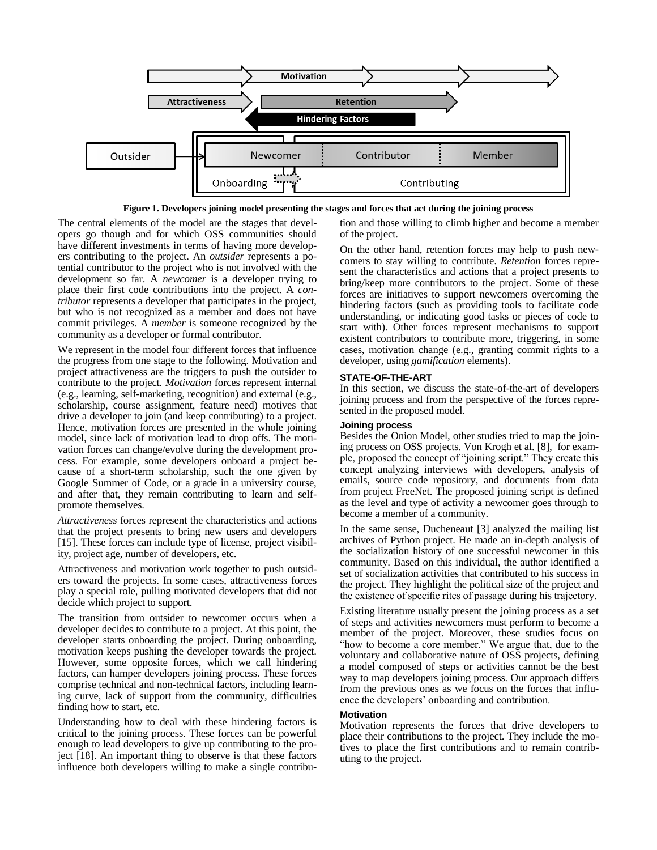

**Figure 1. Developers joining model presenting the stages and forces that act during the joining process**

<span id="page-1-0"></span>The central elements of the model are the stages that developers go though and for which OSS communities should have different investments in terms of having more developers contributing to the project. An *outsider* represents a potential contributor to the project who is not involved with the development so far. A *newcomer* is a developer trying to place their first code contributions into the project. A *contributor* represents a developer that participates in the project, but who is not recognized as a member and does not have commit privileges. A *member* is someone recognized by the community as a developer or formal contributor.

We represent in the model four different forces that influence the progress from one stage to the following. Motivation and project attractiveness are the triggers to push the outsider to contribute to the project. *Motivation* forces represent internal (e.g., learning, self-marketing, recognition) and external (e.g., scholarship, course assignment, feature need) motives that drive a developer to join (and keep contributing) to a project. Hence, motivation forces are presented in the whole joining model, since lack of motivation lead to drop offs. The motivation forces can change/evolve during the development process. For example, some developers onboard a project because of a short-term scholarship, such the one given by Google Summer of Code, or a grade in a university course, and after that, they remain contributing to learn and selfpromote themselves.

*Attractiveness* forces represent the characteristics and actions that the project presents to bring new users and developers [15]. These forces can include type of license, project visibility, project age, number of developers, etc.

Attractiveness and motivation work together to push outsiders toward the projects. In some cases, attractiveness forces play a special role, pulling motivated developers that did not decide which project to support.

The transition from outsider to newcomer occurs when a developer decides to contribute to a project. At this point, the developer starts onboarding the project. During onboarding, motivation keeps pushing the developer towards the project. However, some opposite forces, which we call hindering factors, can hamper developers joining process. These forces comprise technical and non-technical factors, including learning curve, lack of support from the community, difficulties finding how to start, etc.

Understanding how to deal with these hindering factors is critical to the joining process. These forces can be powerful enough to lead developers to give up contributing to the project [18]. An important thing to observe is that these factors influence both developers willing to make a single contribution and those willing to climb higher and become a member of the project.

On the other hand, retention forces may help to push newcomers to stay willing to contribute. *Retention* forces represent the characteristics and actions that a project presents to bring/keep more contributors to the project. Some of these forces are initiatives to support newcomers overcoming the hindering factors (such as providing tools to facilitate code understanding, or indicating good tasks or pieces of code to start with). Other forces represent mechanisms to support existent contributors to contribute more, triggering, in some cases, motivation change (e.g., granting commit rights to a developer, using *gamification* elements).

# **STATE-OF-THE-ART**

In this section, we discuss the state-of-the-art of developers joining process and from the perspective of the forces represented in the proposed model.

# **Joining process**

Besides the Onion Model, other studies tried to map the joining process on OSS projects. Von Krogh et al. [8], for example, proposed the concept of "joining script." They create this concept analyzing interviews with developers, analysis of emails, source code repository, and documents from data from project FreeNet. The proposed joining script is defined as the level and type of activity a newcomer goes through to become a member of a community.

In the same sense, Ducheneaut [3] analyzed the mailing list archives of Python project. He made an in-depth analysis of the socialization history of one successful newcomer in this community. Based on this individual, the author identified a set of socialization activities that contributed to his success in the project. They highlight the political size of the project and the existence of specific rites of passage during his trajectory.

Existing literature usually present the joining process as a set of steps and activities newcomers must perform to become a member of the project. Moreover, these studies focus on "how to become a core member." We argue that, due to the voluntary and collaborative nature of OSS projects, defining a model composed of steps or activities cannot be the best way to map developers joining process. Our approach differs from the previous ones as we focus on the forces that influence the developers' onboarding and contribution.

## **Motivation**

Motivation represents the forces that drive developers to place their contributions to the project. They include the motives to place the first contributions and to remain contributing to the project.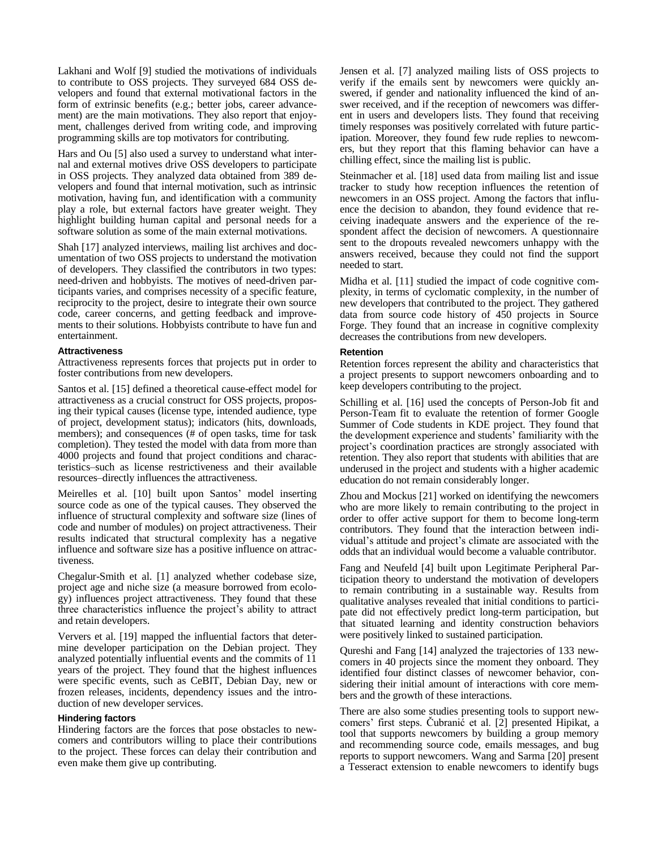Lakhani and Wolf [9] studied the motivations of individuals to contribute to OSS projects. They surveyed 684 OSS developers and found that external motivational factors in the form of extrinsic benefits (e.g.; better jobs, career advancement) are the main motivations. They also report that enjoyment, challenges derived from writing code, and improving programming skills are top motivators for contributing.

Hars and Ou [5] also used a survey to understand what internal and external motives drive OSS developers to participate in OSS projects. They analyzed data obtained from 389 developers and found that internal motivation, such as intrinsic motivation, having fun, and identification with a community play a role, but external factors have greater weight. They highlight building human capital and personal needs for a software solution as some of the main external motivations.

Shah [17] analyzed interviews, mailing list archives and documentation of two OSS projects to understand the motivation of developers. They classified the contributors in two types: need-driven and hobbyists. The motives of need-driven participants varies, and comprises necessity of a specific feature, reciprocity to the project, desire to integrate their own source code, career concerns, and getting feedback and improvements to their solutions. Hobbyists contribute to have fun and entertainment.

## **Attractiveness**

Attractiveness represents forces that projects put in order to foster contributions from new developers.

Santos et al. [15] defined a theoretical cause-effect model for attractiveness as a crucial construct for OSS projects, proposing their typical causes (license type, intended audience, type of project, development status); indicators (hits, downloads, members); and consequences (# of open tasks, time for task completion). They tested the model with data from more than 4000 projects and found that project conditions and characteristics–such as license restrictiveness and their available resources–directly influences the attractiveness.

Meirelles et al. [10] built upon Santos' model inserting source code as one of the typical causes. They observed the influence of structural complexity and software size (lines of code and number of modules) on project attractiveness. Their results indicated that structural complexity has a negative influence and software size has a positive influence on attractiveness.

Chegalur-Smith et al. [1] analyzed whether codebase size, project age and niche size (a measure borrowed from ecology) influences project attractiveness. They found that these three characteristics influence the project's ability to attract and retain developers.

Ververs et al. [19] mapped the influential factors that determine developer participation on the Debian project. They analyzed potentially influential events and the commits of 11 years of the project. They found that the highest influences were specific events, such as CeBIT, Debian Day, new or frozen releases, incidents, dependency issues and the introduction of new developer services.

#### **Hindering factors**

Hindering factors are the forces that pose obstacles to newcomers and contributors willing to place their contributions to the project. These forces can delay their contribution and even make them give up contributing.

Jensen et al. [7] analyzed mailing lists of OSS projects to verify if the emails sent by newcomers were quickly answered, if gender and nationality influenced the kind of answer received, and if the reception of newcomers was different in users and developers lists. They found that receiving timely responses was positively correlated with future participation. Moreover, they found few rude replies to newcomers, but they report that this flaming behavior can have a chilling effect, since the mailing list is public.

Steinmacher et al. [18] used data from mailing list and issue tracker to study how reception influences the retention of newcomers in an OSS project. Among the factors that influence the decision to abandon, they found evidence that receiving inadequate answers and the experience of the respondent affect the decision of newcomers. A questionnaire sent to the dropouts revealed newcomers unhappy with the answers received, because they could not find the support needed to start.

Midha et al. [11] studied the impact of code cognitive complexity, in terms of cyclomatic complexity, in the number of new developers that contributed to the project. They gathered data from source code history of 450 projects in Source Forge. They found that an increase in cognitive complexity decreases the contributions from new developers.

#### **Retention**

Retention forces represent the ability and characteristics that a project presents to support newcomers onboarding and to keep developers contributing to the project.

Schilling et al. [16] used the concepts of Person-Job fit and Person-Team fit to evaluate the retention of former Google Summer of Code students in KDE project. They found that the development experience and students' familiarity with the project's coordination practices are strongly associated with retention. They also report that students with abilities that are underused in the project and students with a higher academic education do not remain considerably longer.

Zhou and Mockus [21] worked on identifying the newcomers who are more likely to remain contributing to the project in order to offer active support for them to become long-term contributors. They found that the interaction between individual's attitude and project's climate are associated with the odds that an individual would become a valuable contributor.

Fang and Neufeld [4] built upon Legitimate Peripheral Participation theory to understand the motivation of developers to remain contributing in a sustainable way. Results from qualitative analyses revealed that initial conditions to participate did not effectively predict long-term participation, but that situated learning and identity construction behaviors were positively linked to sustained participation.

Qureshi and Fang [14] analyzed the trajectories of 133 newcomers in 40 projects since the moment they onboard. They identified four distinct classes of newcomer behavior, considering their initial amount of interactions with core members and the growth of these interactions.

There are also some studies presenting tools to support newcomers' first steps. Čubranić et al. [2] presented Hipikat, a tool that supports newcomers by building a group memory and recommending source code, emails messages, and bug reports to support newcomers. Wang and Sarma [20] present a Tesseract extension to enable newcomers to identify bugs